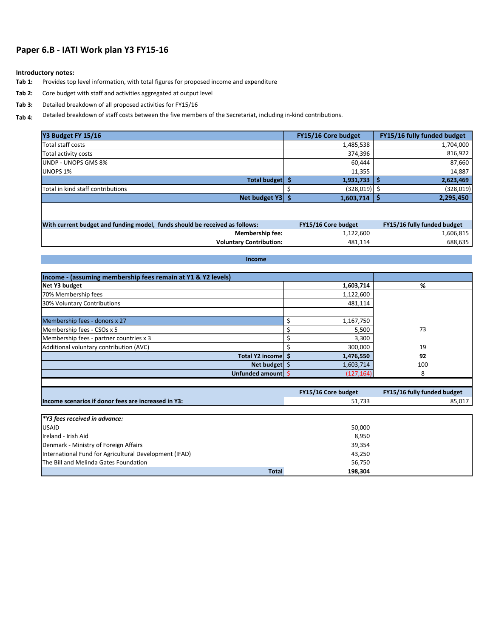## **Paper 6.B - IATI Work plan Y3 FY15-16**

## **Introductory notes:**

- **Tab 1:** Provides top level information, with total figures for proposed income and expenditure
- **Tab 2:** Core budget with staff and activities aggregated at output level
- **Tab 3:**  Detailed breakdown of all proposed activities for FY15/16

**Tab 4:** Detailed breakdown of staff costs between the five members of the Secretariat, including in-kind contributions.

| Y3 Budget FY 15/16                                                          | FY15/16 Core budget  | FY15/16 fully funded budget |
|-----------------------------------------------------------------------------|----------------------|-----------------------------|
| <b>Total staff costs</b>                                                    | 1,485,538            | 1,704,000                   |
| Total activity costs                                                        | 374,396              | 816,922                     |
| <b>UNDP - UNOPS GMS 8%</b>                                                  | 60,444               | 87,660                      |
| <b>UNOPS 1%</b>                                                             | 11,355               | 14,887                      |
| Total budget   \$                                                           | 1,931,733            | 5 ا<br>2,623,469            |
| Total in kind staff contributions                                           | \$<br>$(328,019)$ \$ | (328, 019)                  |
| Net budget $Y3$ \$                                                          | 1,603,714            | 1\$<br>2,295,450            |
|                                                                             |                      |                             |
| With current budget and funding model, funds should be received as follows: | FY15/16 Core budget  | FY15/16 fully funded budget |
| <b>Membership fee:</b>                                                      | 1,122,600            | 1,606,815                   |
| <b>Voluntary Contribution:</b>                                              | 481,114              | 688,635                     |
| Income                                                                      |                      |                             |
|                                                                             |                      |                             |
| Income - (assuming membership fees remain at Y1 & Y2 levels)                |                      |                             |
| Net Y3 budget                                                               | 1,603,714            | %                           |
| 70% Membership fees                                                         | 1,122,600            |                             |
| 30% Voluntary Contributions                                                 | 481,114              |                             |
| Membership fees - donors x 27                                               | \$<br>1,167,750      |                             |
| Membership fees - CSOs x 5                                                  | \$<br>5,500          | 73                          |
| Membership fees - partner countries x 3                                     | \$<br>3,300          |                             |
| Additional voluntary contribution (AVC)                                     | \$<br>300,000        | 19                          |
| Total Y2 income \$                                                          | 1,476,550            | 92                          |
| Net budget $\frac{1}{2}$                                                    | 1,603,714            | 100                         |
| Unfunded amount \$                                                          | (127, 164)           | 8                           |

|                                                        | FY15/16 Core budget | FY15/16 fully funded budget |
|--------------------------------------------------------|---------------------|-----------------------------|
| Income scenarios if donor fees are increased in Y3:    | 51,733              | 85,017                      |
|                                                        |                     |                             |
| $\mathsf{I}^*$ Y3 fees received in advance:            |                     |                             |
| <b>USAID</b>                                           | 50,000              |                             |
| Ireland - Irish Aid                                    | 8,950               |                             |
| Denmark - Ministry of Foreign Affairs                  | 39,354              |                             |
| International Fund for Agricultural Development (IFAD) | 43,250              |                             |
| The Bill and Melinda Gates Foundation                  | 56,750              |                             |
| <b>Total</b>                                           | 198,304             |                             |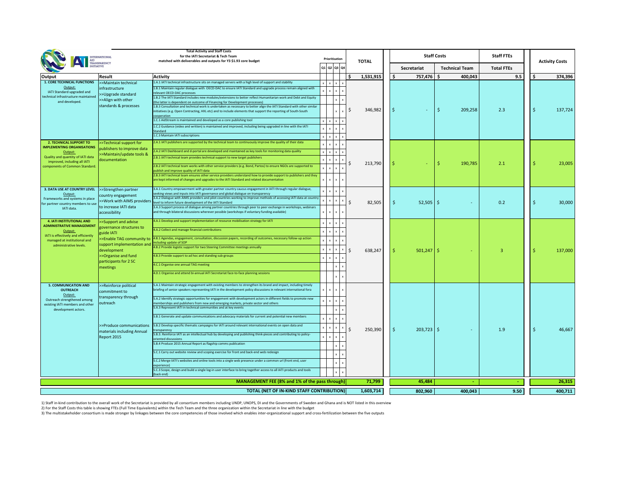| <b>Total Activity and Staff Costs</b><br>for the IATI Secretariat & Tech Team<br><b>INTERNATIONAL</b>                                               |                                                                                            |                                                                                                                                                                                                                                                                                                                                                                                                                                                                                                                                                                                                                                                                                                                                                                                                                                                     | Prioritisation                                                             |                                                                                                                                                  |              |                    |                        | <b>Staff Costs</b>    | <b>Staff FTEs</b> |  |                       |  |
|-----------------------------------------------------------------------------------------------------------------------------------------------------|--------------------------------------------------------------------------------------------|-----------------------------------------------------------------------------------------------------------------------------------------------------------------------------------------------------------------------------------------------------------------------------------------------------------------------------------------------------------------------------------------------------------------------------------------------------------------------------------------------------------------------------------------------------------------------------------------------------------------------------------------------------------------------------------------------------------------------------------------------------------------------------------------------------------------------------------------------------|----------------------------------------------------------------------------|--------------------------------------------------------------------------------------------------------------------------------------------------|--------------|--------------------|------------------------|-----------------------|-------------------|--|-----------------------|--|
|                                                                                                                                                     | AID<br>TRANSPARENCY<br>INITIATIVE                                                          | matched with deliverables and outputs for Y3 \$1.93 core budget                                                                                                                                                                                                                                                                                                                                                                                                                                                                                                                                                                                                                                                                                                                                                                                     | Q1   Q2   Q3   Q4                                                          |                                                                                                                                                  | <b>TOTAL</b> | <b>Secretariat</b> |                        | <b>Technical Team</b> | <b>Total FTEs</b> |  | <b>Activity Costs</b> |  |
| Output                                                                                                                                              | <b>Result</b>                                                                              | <b>Activity</b>                                                                                                                                                                                                                                                                                                                                                                                                                                                                                                                                                                                                                                                                                                                                                                                                                                     |                                                                            |                                                                                                                                                  | 1,531,915    |                    | 757,476                | 400,043               | 9.5               |  | 374,396               |  |
| <b>1. CORE TECHNICAL FUNCTIONS</b>                                                                                                                  | >>Maintain technical                                                                       | 1.A.1 IATI technical infrastructure sits on managed servers with a high level of support and stability                                                                                                                                                                                                                                                                                                                                                                                                                                                                                                                                                                                                                                                                                                                                              | $x \mid x$<br>$\mathbf{x}$                                                 |                                                                                                                                                  |              |                    |                        |                       |                   |  |                       |  |
| Output:<br>IATI Standard upgraded and<br>technical infrastructure maintained<br>and developed.                                                      | infrastructure<br>>>Upgrade standard<br>S>Align with other<br>standards & processes        | 1.B.1 Maintain regular dialogue with OECD-DAC to ensure IATI Standard and upgrade process remain aligned with<br>relevant OECD-DAC processes<br>1.B.2 The IATI Standard includes new modules/extensions to better reflect Humanitarian work and Debt and Equity<br>(the latter is dependent on outcome of Financing for Development processes)<br>1.B.3 Consultation and technical work is undertaken as necessary to better align the IATI Standard with other similar<br>initiatives (e.g. Open Contracting, HXL etc) and to include elements that support the reporting of South-South<br>cooperation<br>1.C.1 AidStream is maintained and developed as a core publishing tool<br>1.C.2 Guidance (video and written) is maintained and improved, including being upgraded in line with the IATI<br>Standard<br>1.C.3 Maintain IATI subscriptions | X<br>$\mathsf{x}$<br>$\mathsf{x}$<br>$\mathsf{X}$                          | $x \mid x \mid x$<br>$\mathsf{x}$<br>$\mathbf{x}$<br>x <sub>1</sub><br>$\times$ 1<br>$x \mid x \mid x$<br>$x \mid x \mid x$<br>$x \mid x \mid x$ | 346,982      |                    |                        | 209,258               | 2.3               |  | 137,724               |  |
| <b>2. TECHNICAL SUPPORT TO</b>                                                                                                                      | >>Technical support for                                                                    | 2.A.1 IATI publishers are supported by the technical team to continuously improve the quality of their data                                                                                                                                                                                                                                                                                                                                                                                                                                                                                                                                                                                                                                                                                                                                         | $\mathbf{x}$                                                               | $x \mid x \mid x$                                                                                                                                |              |                    |                        |                       |                   |  |                       |  |
| <b>IMPLEMENTING ORGANISATIONS</b><br>Output:<br>Quality and quantity of IATI data<br>improved, including all IATI<br>components of Common Standard. | publishers to improve data<br>>>Maintain/update tools &<br>documentation                   | 2.A.2 IATI Dashboard and d-portal are developed and maintained as key tools for monitoring data quality<br>2.B.1 IATI technical team provides technical support to new target publishers<br>2.B.2 IATI technical team works with other service providers (e.g. Bond, Partos) to ensure NGOs are supported to<br>publish and improve quality of IATI data<br>2.B.3 IATI technical team ensures other service providers understand how to provide support to publishers and they<br>are kept informed of changes and upgrades to the IATI Standard and related documentation                                                                                                                                                                                                                                                                          | $\mathsf{x}$<br>$\mathsf{x}$<br>$x \mid x$<br>$\mathsf{x}$<br>$\mathbf{x}$ | $x \mid x \mid x$<br>$x \mid x \mid x$<br>$\mathbf{X}$<br>$x \mid x \mid x$                                                                      | 213,790      |                    |                        | 190,785               | 2.1               |  | 23,005                |  |
| 3. DATA USE AT COUNTRY LEVEL >>Strengthen partner                                                                                                   |                                                                                            | 3.A.1 Country empowerment with greater partner country caucus engagement in IATI through regular dialogue,                                                                                                                                                                                                                                                                                                                                                                                                                                                                                                                                                                                                                                                                                                                                          | $\mathsf{x}$                                                               | $x \mid x \mid x$                                                                                                                                |              |                    |                        |                       |                   |  |                       |  |
| Output:<br>Frameworks and systems in place<br>for partner country members to use<br>IATI data.                                                      | country engagement<br>>>Work with AIMS providers<br>to increase IATI data<br>accessibility | seeking views and inputs into IATI governance and global dialogue on transparency<br>3.A.2 Dialogue with AIMS providers and pilot countries working to improve methods of accessing IATI data at country<br>level to inform future development of the IATI Standard<br>3.A.3 Support process of dialogue among partner countries through peer to peer exchange in workshops, webinars<br>and through bilateral discussions wherever possible (workshops if voluntary funding available)                                                                                                                                                                                                                                                                                                                                                             | $\mathbf{x}$                                                               | $x \mid x \mid x$<br>$x \mid x \mid x$                                                                                                           | 82,505       |                    | $52,505$ $\frac{1}{5}$ |                       | 0.2               |  | 30,000                |  |
| <b>4. IATI INSTITUTIONAL AND</b>                                                                                                                    | >>Support and advise                                                                       | 4.A.1 Develop and support implementation of resource mobilisation strategy for IATI                                                                                                                                                                                                                                                                                                                                                                                                                                                                                                                                                                                                                                                                                                                                                                 | $x \mid x \mid$                                                            | $\mathbf{x}$                                                                                                                                     |              |                    |                        |                       |                   |  |                       |  |
| <b>ADMINISTRATIVE MANAGEMENT</b><br>Output:<br>IATI is effectively and efficiently                                                                  | governance structures to<br>guide IATI                                                     | 4.A.2 Collect and manage financial contributions                                                                                                                                                                                                                                                                                                                                                                                                                                                                                                                                                                                                                                                                                                                                                                                                    |                                                                            | $x \mid x \mid x$                                                                                                                                |              |                    |                        |                       |                   |  |                       |  |
| managed at institutional and<br>administrative levels.                                                                                              | support implementation and<br>development                                                  | >>Enable TAG community to 2.B.1 Agendas, engagement, consultation, discussion papers, recording of outcomes, necessary follow-up action<br>including update of SOP<br>4.B.2 Provide logistic support for two Steering Committee meetings annually                                                                                                                                                                                                                                                                                                                                                                                                                                                                                                                                                                                                   |                                                                            | $x + x + x$<br>$X$ $X$ $X$                                                                                                                       | 638,247      |                    | $501,247$   \$         |                       |                   |  | 137,000               |  |
|                                                                                                                                                     | >>Organise and fund                                                                        | 4.B.3 Provide support to ad hoc and standing sub-groups                                                                                                                                                                                                                                                                                                                                                                                                                                                                                                                                                                                                                                                                                                                                                                                             |                                                                            | $x + x + x$                                                                                                                                      |              |                    |                        |                       |                   |  |                       |  |
|                                                                                                                                                     | participants for 2 SC<br>meetings                                                          | 4.C.1 Organise one annual TAG meeting                                                                                                                                                                                                                                                                                                                                                                                                                                                                                                                                                                                                                                                                                                                                                                                                               |                                                                            | $\times$ 1<br>$\mathsf{X}$                                                                                                                       |              |                    |                        |                       |                   |  |                       |  |
|                                                                                                                                                     |                                                                                            | 4.D.1 Organise and attend bi-annual IATI Secretariat face-to-face planning sessions                                                                                                                                                                                                                                                                                                                                                                                                                                                                                                                                                                                                                                                                                                                                                                 |                                                                            | $x \mid x$                                                                                                                                       |              |                    |                        |                       |                   |  |                       |  |
| <b>5. COMMUNICATION AND</b>                                                                                                                         | >>Reinforce political                                                                      | 5.A.1 Maintain strategic engagement with existing members to strengthen its brand and impact, including timely                                                                                                                                                                                                                                                                                                                                                                                                                                                                                                                                                                                                                                                                                                                                      |                                                                            |                                                                                                                                                  |              |                    |                        |                       |                   |  |                       |  |
| <b>OUTREACH</b><br>Output:<br>Outreach strengthened among                                                                                           | commitment to<br>transparency through                                                      | briefing of senior speakers representing IATI in the development policy discussions in relevant international fora<br>5.A.2 Identify strategic opportunities for engagement with development actors in different fields to promote new                                                                                                                                                                                                                                                                                                                                                                                                                                                                                                                                                                                                              | x                                                                          | $x \mid x \mid x$                                                                                                                                |              |                    |                        |                       |                   |  |                       |  |
| existing IATI members and other<br>development actors.                                                                                              | outreach                                                                                   | memberships and publishers from new and emerging markets, private sector and others<br>5.A.3 Represent IATI in technical communities and at key events                                                                                                                                                                                                                                                                                                                                                                                                                                                                                                                                                                                                                                                                                              |                                                                            | $x \mid x \mid x$<br>- x - l                                                                                                                     |              |                    |                        |                       |                   |  |                       |  |
|                                                                                                                                                     |                                                                                            | 5.B.1 Generate and update communications and advocacy materials for current and potential new members                                                                                                                                                                                                                                                                                                                                                                                                                                                                                                                                                                                                                                                                                                                                               | $\mathsf{X}$                                                               | $x \mid x \mid x$                                                                                                                                |              |                    |                        |                       |                   |  |                       |  |
|                                                                                                                                                     | materials including Annual                                                                 | >>Produce communications 5.B.2 Develop specific thematic campaigns for IATI around relevant international events on open data and<br>transparency                                                                                                                                                                                                                                                                                                                                                                                                                                                                                                                                                                                                                                                                                                   |                                                                            | $x \mid x \mid x \mid$                                                                                                                           | 250,390      |                    | $203,723$   \$         |                       | 1.9               |  | 46,667                |  |
|                                                                                                                                                     | Report 2015                                                                                | 5.B.3. Reinforce IATI as an intellectual hub by developing and publishing think-pieces and contributing to policy-<br>oriented discussions                                                                                                                                                                                                                                                                                                                                                                                                                                                                                                                                                                                                                                                                                                          | $\mathsf{x}$                                                               | $x \mid x \mid x$                                                                                                                                |              |                    |                        |                       |                   |  |                       |  |
|                                                                                                                                                     |                                                                                            | 5.B.4 Produce 2015 Annual Report as flagship comms publication<br>5.C.1 Carry out website review and scoping exercise for front and back-end web redesign                                                                                                                                                                                                                                                                                                                                                                                                                                                                                                                                                                                                                                                                                           |                                                                            | $\mathsf{x}$<br>$\mathsf{X}$                                                                                                                     |              |                    |                        |                       |                   |  |                       |  |
|                                                                                                                                                     |                                                                                            | 5.C.2 Merge IATI's websites and online tools into a single web presence under a common url (front end, user                                                                                                                                                                                                                                                                                                                                                                                                                                                                                                                                                                                                                                                                                                                                         |                                                                            | $\mathbf{x}$<br>$\times$ 1<br>$x \mid x$                                                                                                         |              |                    |                        |                       |                   |  |                       |  |
|                                                                                                                                                     |                                                                                            | experience)<br>5.C.3 Scope, design and build a single log-in user interface to bring together access to all IATI products and tools                                                                                                                                                                                                                                                                                                                                                                                                                                                                                                                                                                                                                                                                                                                 |                                                                            | $x \mid x$                                                                                                                                       |              |                    |                        |                       |                   |  |                       |  |
|                                                                                                                                                     |                                                                                            | (back end)<br>MANAGEMENT FEE (8% and 1% of the pass through)                                                                                                                                                                                                                                                                                                                                                                                                                                                                                                                                                                                                                                                                                                                                                                                        |                                                                            |                                                                                                                                                  | 71,799       |                    | 45,484                 |                       |                   |  | 26,315                |  |
|                                                                                                                                                     |                                                                                            |                                                                                                                                                                                                                                                                                                                                                                                                                                                                                                                                                                                                                                                                                                                                                                                                                                                     |                                                                            |                                                                                                                                                  |              |                    |                        |                       |                   |  |                       |  |
|                                                                                                                                                     |                                                                                            | <b>TOTAL (NET OF IN-KIND STAFF CONTRIBUTION)</b>                                                                                                                                                                                                                                                                                                                                                                                                                                                                                                                                                                                                                                                                                                                                                                                                    |                                                                            |                                                                                                                                                  | 1,603,714    |                    | 802,960                | 400,043               | 9.50              |  | 400,711               |  |







1) Staff in-kind contribution to the overall work of the Secretariat is provided by all consortium members including UNDP, UNOPS, DI and the Governments of Sweden and Ghana and is NOT listed in this overview 2) For the Staff Costs this table is showing FTEs (Full Time Equivalents) within the Tech Team and the three organization within the Secretariat in line with the budget 3) The multistakeholder consortium is made stronger by linkages between the core competencies of those involved which enables inter-organizational support and cross-fertilization between the five outputs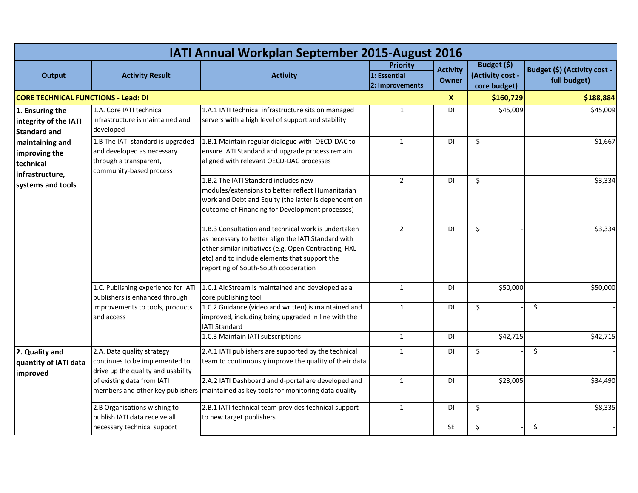|                                                                 | <b>IATI Annual Workplan September 2015-August 2016</b>                                                               |                                                                                                                                                                                                                                                              |                                                    |                                 |                                                 |                                              |  |  |  |  |
|-----------------------------------------------------------------|----------------------------------------------------------------------------------------------------------------------|--------------------------------------------------------------------------------------------------------------------------------------------------------------------------------------------------------------------------------------------------------------|----------------------------------------------------|---------------------------------|-------------------------------------------------|----------------------------------------------|--|--|--|--|
| <b>Output</b><br><b>Activity Result</b>                         |                                                                                                                      | <b>Activity</b>                                                                                                                                                                                                                                              | <b>Priority</b><br>1: Essential<br>2: Improvements | <b>Activity</b><br><b>Owner</b> | Budget (\$)<br>(Activity cost -<br>core budget) | Budget (\$) (Activity cost -<br>full budget) |  |  |  |  |
| <b>CORE TECHNICAL FUNCTIONS - Lead: DI</b>                      |                                                                                                                      |                                                                                                                                                                                                                                                              |                                                    | $\boldsymbol{X}$                | \$160,729                                       | \$188,884                                    |  |  |  |  |
| 1. Ensuring the<br>integrity of the IATI<br><b>Standard and</b> | 1.A. Core IATI technical<br>infrastructure is maintained and<br>developed                                            | 1.A.1 IATI technical infrastructure sits on managed<br>servers with a high level of support and stability                                                                                                                                                    | $\mathbf{1}$                                       | DI                              | \$45,009                                        | \$45,009                                     |  |  |  |  |
| maintaining and<br>improving the<br>technical                   | 1.B The IATI standard is upgraded<br>and developed as necessary<br>through a transparent,<br>community-based process | 1.B.1 Maintain regular dialogue with OECD-DAC to<br>ensure IATI Standard and upgrade process remain<br>aligned with relevant OECD-DAC processes                                                                                                              | $\mathbf{1}$                                       | DI                              | \$                                              | \$1,667                                      |  |  |  |  |
| infrastructure,<br>systems and tools                            |                                                                                                                      | 1.B.2 The IATI Standard includes new<br>modules/extensions to better reflect Humanitarian<br>work and Debt and Equity (the latter is dependent on<br>outcome of Financing for Development processes)                                                         | $\overline{2}$                                     | DI                              | $\zeta$                                         | \$3,334                                      |  |  |  |  |
|                                                                 |                                                                                                                      | 1.B.3 Consultation and technical work is undertaken<br>as necessary to better align the IATI Standard with<br>other similar initiatives (e.g. Open Contracting, HXL<br>etc) and to include elements that support the<br>reporting of South-South cooperation | $\overline{2}$                                     | DI                              | \$                                              | \$3,334                                      |  |  |  |  |
|                                                                 | 1.C. Publishing experience for IATI<br>publishers is enhanced through                                                | 1.C.1 AidStream is maintained and developed as a<br>core publishing tool                                                                                                                                                                                     | $\mathbf{1}$                                       | DI                              | \$50,000                                        | \$50,000                                     |  |  |  |  |
|                                                                 | improvements to tools, products<br>and access                                                                        | 1.C.2 Guidance (video and written) is maintained and<br>improved, including being upgraded in line with the<br><b>IATI Standard</b>                                                                                                                          | 1                                                  | <b>DI</b>                       | \$                                              | \$                                           |  |  |  |  |
|                                                                 |                                                                                                                      | 1.C.3 Maintain IATI subscriptions                                                                                                                                                                                                                            | $\mathbf{1}$                                       | DI                              | \$42,715                                        | \$42,715                                     |  |  |  |  |
| 2. Quality and<br>quantity of IATI data<br>improved             | 2.A. Data quality strategy<br>continues to be implemented to<br>drive up the quality and usability                   | 2.A.1 IATI publishers are supported by the technical<br>team to continuously improve the quality of their data                                                                                                                                               | 1                                                  | DI                              | \$                                              | \$                                           |  |  |  |  |
|                                                                 | of existing data from IATI                                                                                           | 2.A.2 IATI Dashboard and d-portal are developed and<br>members and other key publishers   maintained as key tools for monitoring data quality                                                                                                                | $\mathbf{1}$                                       | DI                              | \$23,005                                        | \$34,490                                     |  |  |  |  |
|                                                                 | 2.B Organisations wishing to<br>publish IATI data receive all                                                        | 2.B.1 IATI technical team provides technical support<br>to new target publishers                                                                                                                                                                             | $\mathbf{1}$                                       | $\mathsf{D}\mathsf{I}$          | $\zeta$                                         | \$8,335                                      |  |  |  |  |
|                                                                 | necessary technical support                                                                                          |                                                                                                                                                                                                                                                              |                                                    | SE                              | \$                                              | \$                                           |  |  |  |  |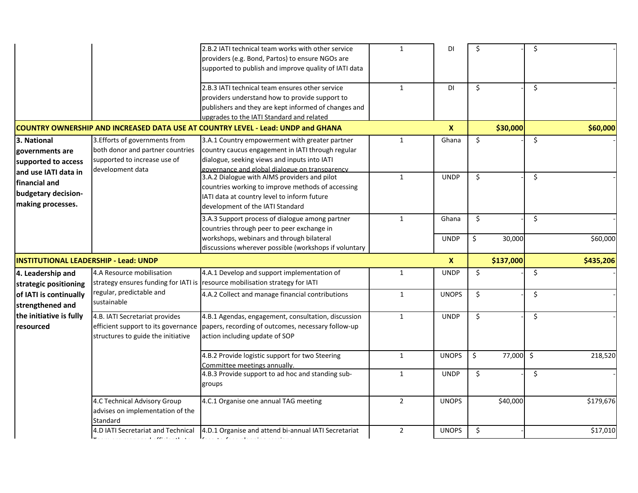|                                              |                                    | 2.B.2 IATI technical team works with other service                                       | 1              | DI               | \$           | \$            |
|----------------------------------------------|------------------------------------|------------------------------------------------------------------------------------------|----------------|------------------|--------------|---------------|
|                                              |                                    | providers (e.g. Bond, Partos) to ensure NGOs are                                         |                |                  |              |               |
|                                              |                                    | supported to publish and improve quality of IATI data                                    |                |                  |              |               |
|                                              |                                    | 2.B.3 IATI technical team ensures other service                                          | $\mathbf{1}$   | DI               | \$           | \$            |
|                                              |                                    | providers understand how to provide support to                                           |                |                  |              |               |
|                                              |                                    | publishers and they are kept informed of changes and                                     |                |                  |              |               |
|                                              |                                    | upgrades to the IATI Standard and related                                                |                |                  |              |               |
|                                              |                                    | COUNTRY OWNERSHIP AND INCREASED DATA USE AT COUNTRY LEVEL - Lead: UNDP and GHANA         |                | $\boldsymbol{X}$ | \$30,000     | \$60,000      |
| 3. National                                  | 3. Efforts of governments from     | 3.A.1 Country empowerment with greater partner                                           | $\mathbf{1}$   | Ghana            | \$           | \$            |
| governments are                              | both donor and partner countries   | country caucus engagement in IATI through regular                                        |                |                  |              |               |
| supported to access                          | supported to increase use of       | dialogue, seeking views and inputs into IATI                                             |                |                  |              |               |
| and use IATI data in                         | development data                   | governance and global dialogue on transparency                                           |                |                  |              |               |
| financial and                                |                                    | 3.A.2 Dialogue with AIMS providers and pilot                                             | $\mathbf{1}$   | <b>UNDP</b>      | $\zeta$      | \$            |
| budgetary decision-                          |                                    | countries working to improve methods of accessing                                        |                |                  |              |               |
|                                              |                                    | IATI data at country level to inform future                                              |                |                  |              |               |
| making processes.                            |                                    | development of the IATI Standard                                                         |                |                  |              |               |
|                                              |                                    | 3.A.3 Support process of dialogue among partner                                          | $\mathbf{1}$   | Ghana            | \$           | \$            |
|                                              |                                    | countries through peer to peer exchange in                                               |                |                  |              |               |
|                                              |                                    | workshops, webinars and through bilateral                                                |                | <b>UNDP</b>      | \$<br>30,000 | \$60,000      |
|                                              |                                    | discussions wherever possible (workshops if voluntary                                    |                |                  |              |               |
| <b>INSTITUTIONAL LEADERSHIP - Lead: UNDP</b> |                                    |                                                                                          |                | $\boldsymbol{x}$ | \$137,000    | \$435,206     |
| 4. Leadership and                            | 4.A Resource mobilisation          | 4.A.1 Develop and support implementation of                                              | 1              | <b>UNDP</b>      | \$           | \$            |
| strategic positioning                        |                                    | strategy ensures funding for IATI is resource mobilisation strategy for IATI             |                |                  |              |               |
| of IATI is continually                       | regular, predictable and           | 4.A.2 Collect and manage financial contributions                                         | $\mathbf{1}$   | <b>UNOPS</b>     | \$           | \$            |
| strengthened and                             | sustainable                        |                                                                                          |                |                  |              |               |
| the initiative is fully                      | 4.B. IATI Secretariat provides     | 4.B.1 Agendas, engagement, consultation, discussion                                      | $\mathbf{1}$   | <b>UNDP</b>      | \$           | \$            |
| resourced                                    |                                    | efficient support to its governance   papers, recording of outcomes, necessary follow-up |                |                  |              |               |
|                                              | structures to guide the initiative | action including update of SOP                                                           |                |                  |              |               |
|                                              |                                    |                                                                                          |                |                  |              |               |
|                                              |                                    | 4.B.2 Provide logistic support for two Steering                                          | 1              | <b>UNOPS</b>     | \$<br>77,000 | \$<br>218,520 |
|                                              |                                    | Committee meetings annually.                                                             |                |                  |              |               |
|                                              |                                    | 4.B.3 Provide support to ad hoc and standing sub-                                        | $\mathbf{1}$   | <b>UNDP</b>      | \$           | \$            |
|                                              |                                    | groups                                                                                   |                |                  |              |               |
|                                              |                                    |                                                                                          |                |                  |              |               |
|                                              | 4.C Technical Advisory Group       | 4.C.1 Organise one annual TAG meeting                                                    | $2^{\circ}$    | <b>UNOPS</b>     | \$40,000     | \$179,676     |
|                                              | advises on implementation of the   |                                                                                          |                |                  |              |               |
|                                              | Standard                           |                                                                                          |                |                  |              |               |
|                                              |                                    | 4.D IATI Secretariat and Technical 4.D.1 Organise and attend bi-annual IATI Secretariat  | $\overline{2}$ | <b>UNOPS</b>     | \$           | \$17,010      |
|                                              | all pressure that the              | المتاريخ والمتاريخ والمتاريط                                                             |                |                  |              |               |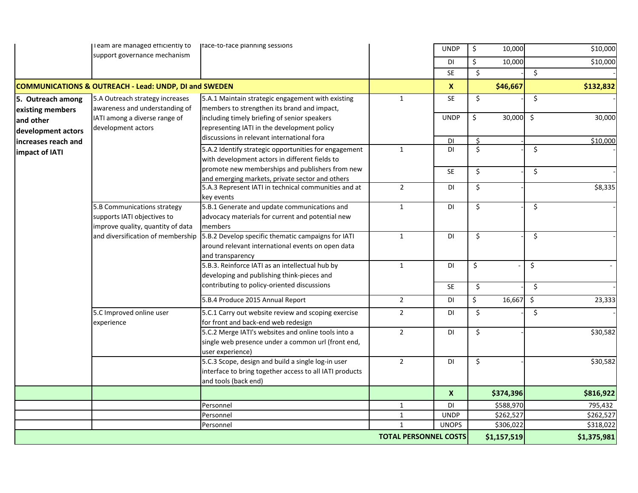|                     | I eam are managed efficiently to                                 | Itace-to-tace planning sessions                         |                              | <b>UNDP</b>      | \$      | 10,000      |         | \$10,000    |
|---------------------|------------------------------------------------------------------|---------------------------------------------------------|------------------------------|------------------|---------|-------------|---------|-------------|
|                     | support governance mechanism                                     |                                                         |                              | DI               | \$      | 10,000      |         | \$10,000    |
|                     |                                                                  |                                                         |                              | <b>SE</b>        | \$      |             | \$      |             |
|                     | <b>COMMUNICATIONS &amp; OUTREACH - Lead: UNDP, DI and SWEDEN</b> |                                                         |                              | $\boldsymbol{X}$ |         | \$46,667    |         | \$132,832   |
| 5. Outreach among   | 5.A Outreach strategy increases                                  | 5.A.1 Maintain strategic engagement with existing       | $\mathbf{1}$                 | <b>SE</b>        | \$      |             | \$      |             |
| existing members    | awareness and understanding of                                   | members to strengthen its brand and impact,             |                              |                  |         |             |         |             |
| and other           | IATI among a diverse range of                                    | including timely briefing of senior speakers            |                              | <b>UNDP</b>      | \$      | $30,000$ \$ |         | 30,000      |
| development actors  | development actors                                               | representing IATI in the development policy             |                              |                  |         |             |         |             |
| increases reach and |                                                                  | discussions in relevant international fora              |                              | DI               | $\zeta$ |             |         | \$10,000    |
|                     |                                                                  | 5.A.2 Identify strategic opportunities for engagement   | 1                            | DI               | \$      |             | \$      |             |
| impact of IATI      |                                                                  | with development actors in different fields to          |                              |                  |         |             |         |             |
|                     |                                                                  | promote new memberships and publishers from new         |                              | <b>SE</b>        | \$      |             | \$      |             |
|                     |                                                                  | and emerging markets, private sector and others         |                              |                  |         |             |         |             |
|                     |                                                                  | 5.A.3 Represent IATI in technical communities and at    | $\overline{2}$               | DI               | \$      |             |         | \$8,335     |
|                     |                                                                  | key events                                              |                              |                  |         |             |         |             |
|                     | 5.B Communications strategy                                      | 5.B.1 Generate and update communications and            | $\mathbf{1}$                 | DI               | \$      |             | \$      |             |
|                     | supports IATI objectives to                                      | advocacy materials for current and potential new        |                              |                  |         |             |         |             |
|                     | improve quality, quantity of data                                | members                                                 |                              |                  |         |             |         |             |
|                     | and diversification of membership                                | 5.B.2 Develop specific thematic campaigns for IATI      | $\mathbf{1}$                 | DI               | $\zeta$ |             | \$      |             |
|                     |                                                                  | around relevant international events on open data       |                              |                  |         |             |         |             |
|                     |                                                                  | and transparency                                        |                              |                  |         |             |         |             |
|                     |                                                                  | 5.B.3. Reinforce IATI as an intellectual hub by         | $\mathbf{1}$                 | DI               | \$      |             | \$      |             |
|                     |                                                                  | developing and publishing think-pieces and              |                              |                  |         |             |         |             |
|                     |                                                                  | contributing to policy-oriented discussions             |                              | <b>SE</b>        | \$      |             | \$      |             |
|                     |                                                                  | 5.B.4 Produce 2015 Annual Report                        | $\overline{2}$               | DI               | \$      | 16,667      | $\zeta$ | 23,333      |
|                     | 5.C Improved online user                                         | 5.C.1 Carry out website review and scoping exercise     | $\overline{2}$               | DI               | $\zeta$ |             | $\zeta$ |             |
|                     | experience                                                       | for front and back-end web redesign                     |                              |                  |         |             |         |             |
|                     |                                                                  | 5.C.2 Merge IATI's websites and online tools into a     | $\overline{2}$               | DI               | \$      |             |         | \$30,582    |
|                     |                                                                  | single web presence under a common url (front end,      |                              |                  |         |             |         |             |
|                     |                                                                  | user experience)                                        |                              |                  |         |             |         |             |
|                     |                                                                  | 5.C.3 Scope, design and build a single log-in user      | $\overline{2}$               | DI               | \$      |             |         | \$30,582    |
|                     |                                                                  | interface to bring together access to all IATI products |                              |                  |         |             |         |             |
|                     |                                                                  | and tools (back end)                                    |                              |                  |         |             |         |             |
|                     |                                                                  |                                                         |                              | $\boldsymbol{X}$ |         | \$374,396   |         | \$816,922   |
|                     |                                                                  | Personnel                                               | $\mathbf{1}$                 | DI               |         | \$588,970   |         | 795,432     |
|                     |                                                                  | Personnel                                               | $\mathbf{1}$                 | <b>UNDP</b>      |         | \$262,527   |         | \$262,527   |
|                     |                                                                  | Personnel                                               | $\mathbf{1}$                 | <b>UNOPS</b>     |         | \$306,022   |         | \$318,022   |
|                     |                                                                  |                                                         | <b>TOTAL PERSONNEL COSTS</b> |                  |         | \$1,157,519 |         | \$1,375,981 |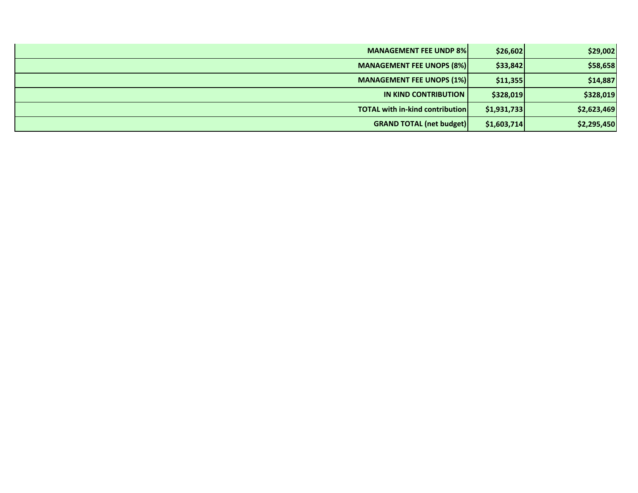| <b>MANAGEMENT FEE UNDP 8%</b>          | \$26,602    | \$29,002    |
|----------------------------------------|-------------|-------------|
| <b>MANAGEMENT FEE UNOPS (8%)</b>       | \$33,842    | \$58,658    |
| <b>MANAGEMENT FEE UNOPS (1%)</b>       | \$11,355    | \$14,887    |
| <b>IN KIND CONTRIBUTION</b>            | \$328,019   | \$328,019   |
| <b>TOTAL with in-kind contribution</b> | \$1,931,733 | \$2,623,469 |
| <b>GRAND TOTAL (net budget)</b>        | \$1,603,714 | \$2,295,450 |